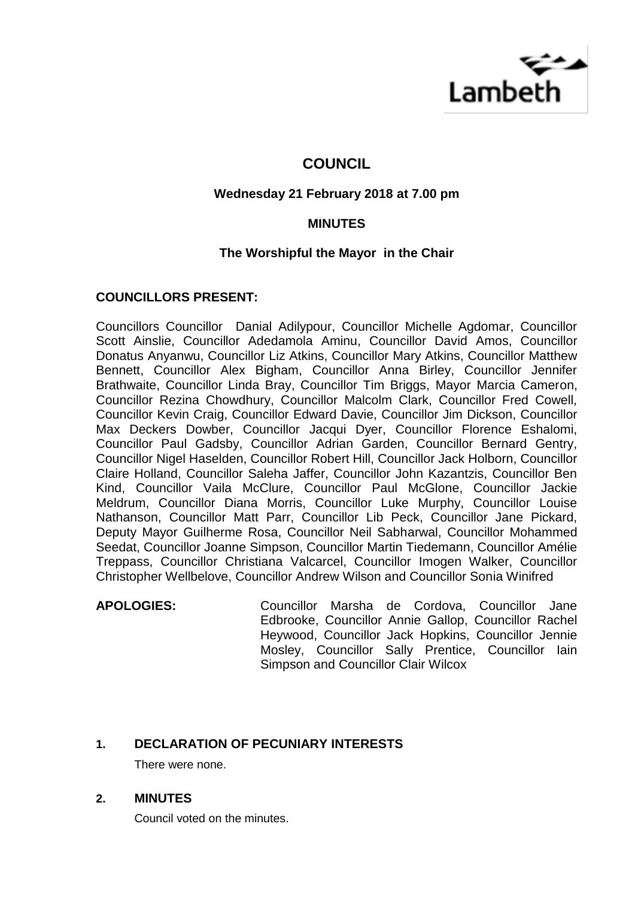

# **COUNCIL**

## **Wednesday 21 February 2018 at 7.00 pm**

## **MINUTES**

## **The Worshipful the Mayor in the Chair**

## **COUNCILLORS PRESENT:**

Councillors Councillor Danial Adilypour, Councillor Michelle Agdomar, Councillor Scott Ainslie, Councillor Adedamola Aminu, Councillor David Amos, Councillor Donatus Anyanwu, Councillor Liz Atkins, Councillor Mary Atkins, Councillor Matthew Bennett, Councillor Alex Bigham, Councillor Anna Birley, Councillor Jennifer Brathwaite, Councillor Linda Bray, Councillor Tim Briggs, Mayor Marcia Cameron, Councillor Rezina Chowdhury, Councillor Malcolm Clark, Councillor Fred Cowell, Councillor Kevin Craig, Councillor Edward Davie, Councillor Jim Dickson, Councillor Max Deckers Dowber, Councillor Jacqui Dyer, Councillor Florence Eshalomi, Councillor Paul Gadsby, Councillor Adrian Garden, Councillor Bernard Gentry, Councillor Nigel Haselden, Councillor Robert Hill, Councillor Jack Holborn, Councillor Claire Holland, Councillor Saleha Jaffer, Councillor John Kazantzis, Councillor Ben Kind, Councillor Vaila McClure, Councillor Paul McGlone, Councillor Jackie Meldrum, Councillor Diana Morris, Councillor Luke Murphy, Councillor Louise Nathanson, Councillor Matt Parr, Councillor Lib Peck, Councillor Jane Pickard, Deputy Mayor Guilherme Rosa, Councillor Neil Sabharwal, Councillor Mohammed Seedat, Councillor Joanne Simpson, Councillor Martin Tiedemann, Councillor Amélie Treppass, Councillor Christiana Valcarcel, Councillor Imogen Walker, Councillor Christopher Wellbelove, Councillor Andrew Wilson and Councillor Sonia Winifred

## **APOLOGIES:** Councillor Marsha de Cordova, Councillor Jane Edbrooke, Councillor Annie Gallop, Councillor Rachel Heywood, Councillor Jack Hopkins, Councillor Jennie Mosley, Councillor Sally Prentice, Councillor Iain Simpson and Councillor Clair Wilcox

## **1. DECLARATION OF PECUNIARY INTERESTS**

There were none.

## **2. MINUTES**

Council voted on the minutes.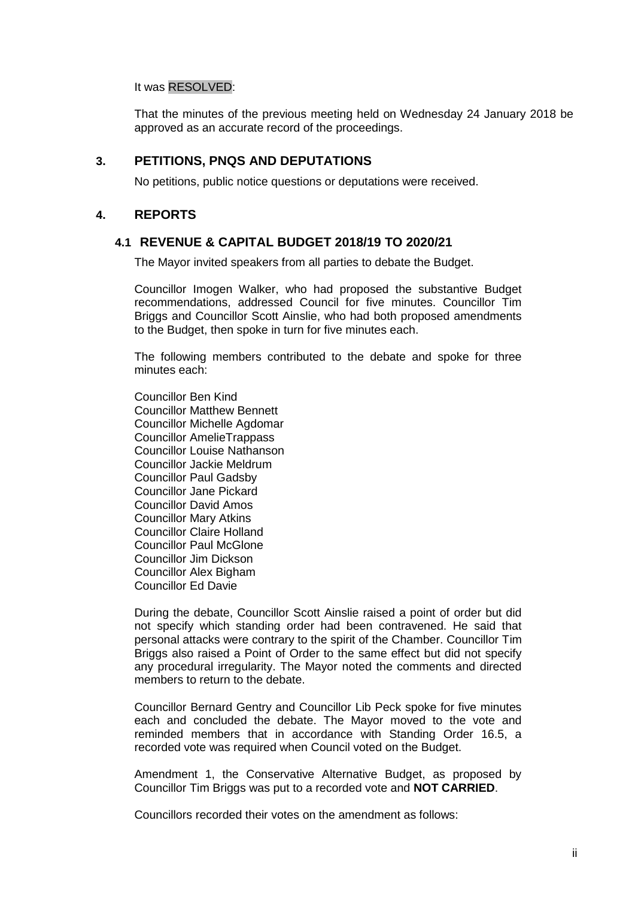#### It was RESOLVED:

That the minutes of the previous meeting held on Wednesday 24 January 2018 be approved as an accurate record of the proceedings.

#### **3. PETITIONS, PNQS AND DEPUTATIONS**

No petitions, public notice questions or deputations were received.

#### **4. REPORTS**

#### **4.1 REVENUE & CAPITAL BUDGET 2018/19 TO 2020/21**

The Mayor invited speakers from all parties to debate the Budget.

Councillor Imogen Walker, who had proposed the substantive Budget recommendations, addressed Council for five minutes. Councillor Tim Briggs and Councillor Scott Ainslie, who had both proposed amendments to the Budget, then spoke in turn for five minutes each.

The following members contributed to the debate and spoke for three minutes each:

Councillor Ben Kind Councillor Matthew Bennett Councillor Michelle Agdomar Councillor AmelieTrappass Councillor Louise Nathanson Councillor Jackie Meldrum Councillor Paul Gadsby Councillor Jane Pickard Councillor David Amos Councillor Mary Atkins Councillor Claire Holland Councillor Paul McGlone Councillor Jim Dickson Councillor Alex Bigham Councillor Ed Davie

During the debate, Councillor Scott Ainslie raised a point of order but did not specify which standing order had been contravened. He said that personal attacks were contrary to the spirit of the Chamber. Councillor Tim Briggs also raised a Point of Order to the same effect but did not specify any procedural irregularity. The Mayor noted the comments and directed members to return to the debate.

Councillor Bernard Gentry and Councillor Lib Peck spoke for five minutes each and concluded the debate. The Mayor moved to the vote and reminded members that in accordance with Standing Order 16.5, a recorded vote was required when Council voted on the Budget.

Amendment 1, the Conservative Alternative Budget, as proposed by Councillor Tim Briggs was put to a recorded vote and **NOT CARRIED**.

Councillors recorded their votes on the amendment as follows: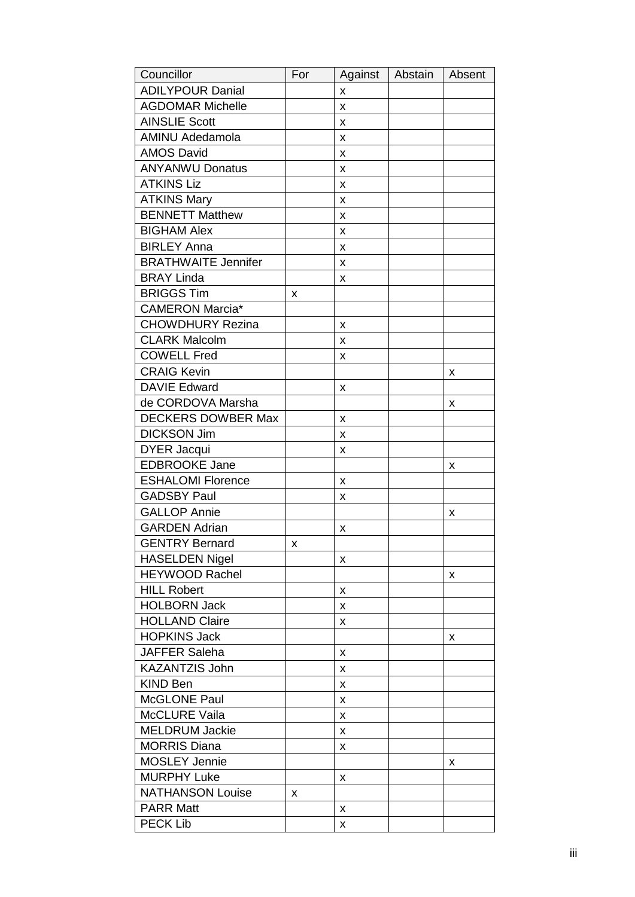| Councillor                 | For | Against | Abstain | Absent |
|----------------------------|-----|---------|---------|--------|
| <b>ADILYPOUR Danial</b>    |     | X       |         |        |
| <b>AGDOMAR Michelle</b>    |     | X       |         |        |
| <b>AINSLIE Scott</b>       |     | X       |         |        |
| <b>AMINU Adedamola</b>     |     | X       |         |        |
| <b>AMOS David</b>          |     | X       |         |        |
| <b>ANYANWU Donatus</b>     |     | X       |         |        |
| <b>ATKINS Liz</b>          |     | X       |         |        |
| <b>ATKINS Mary</b>         |     | X       |         |        |
| <b>BENNETT Matthew</b>     |     | x       |         |        |
| <b>BIGHAM Alex</b>         |     | X       |         |        |
| <b>BIRLEY Anna</b>         |     | X       |         |        |
| <b>BRATHWAITE Jennifer</b> |     | X       |         |        |
| <b>BRAY Linda</b>          |     | х       |         |        |
| <b>BRIGGS Tim</b>          | x   |         |         |        |
| <b>CAMERON Marcia*</b>     |     |         |         |        |
| <b>CHOWDHURY Rezina</b>    |     | X       |         |        |
| <b>CLARK Malcolm</b>       |     | X       |         |        |
| <b>COWELL Fred</b>         |     | x       |         |        |
| <b>CRAIG Kevin</b>         |     |         |         | X      |
| <b>DAVIE Edward</b>        |     | X       |         |        |
| de CORDOVA Marsha          |     |         |         | X      |
| <b>DECKERS DOWBER Max</b>  |     | x       |         |        |
| <b>DICKSON Jim</b>         |     | x       |         |        |
| <b>DYER Jacqui</b>         |     | x       |         |        |
| <b>EDBROOKE Jane</b>       |     |         |         | x      |
| <b>ESHALOMI Florence</b>   |     | x       |         |        |
| <b>GADSBY Paul</b>         |     | x       |         |        |
| <b>GALLOP Annie</b>        |     |         |         | x      |
| <b>GARDEN Adrian</b>       |     | X       |         |        |
| <b>GENTRY Bernard</b>      | X   |         |         |        |
| <b>HASELDEN Nigel</b>      |     | x       |         |        |
| <b>HEYWOOD Rachel</b>      |     |         |         | X      |
| <b>HILL Robert</b>         |     | x       |         |        |
| <b>HOLBORN Jack</b>        |     | x       |         |        |
| <b>HOLLAND Claire</b>      |     | X       |         |        |
| <b>HOPKINS Jack</b>        |     |         |         | x      |
| JAFFER Saleha              |     | x       |         |        |
| KAZANTZIS John             |     | x       |         |        |
| <b>KIND Ben</b>            |     | x       |         |        |
| McGLONE Paul               |     | X       |         |        |
| <b>McCLURE Vaila</b>       |     | X       |         |        |
| <b>MELDRUM Jackie</b>      |     | x       |         |        |
| <b>MORRIS Diana</b>        |     | x       |         |        |
| <b>MOSLEY Jennie</b>       |     |         |         | X      |
| <b>MURPHY Luke</b>         |     | x       |         |        |
| <b>NATHANSON Louise</b>    | x   |         |         |        |
| <b>PARR Matt</b>           |     | X       |         |        |
| <b>PECK Lib</b>            |     | x       |         |        |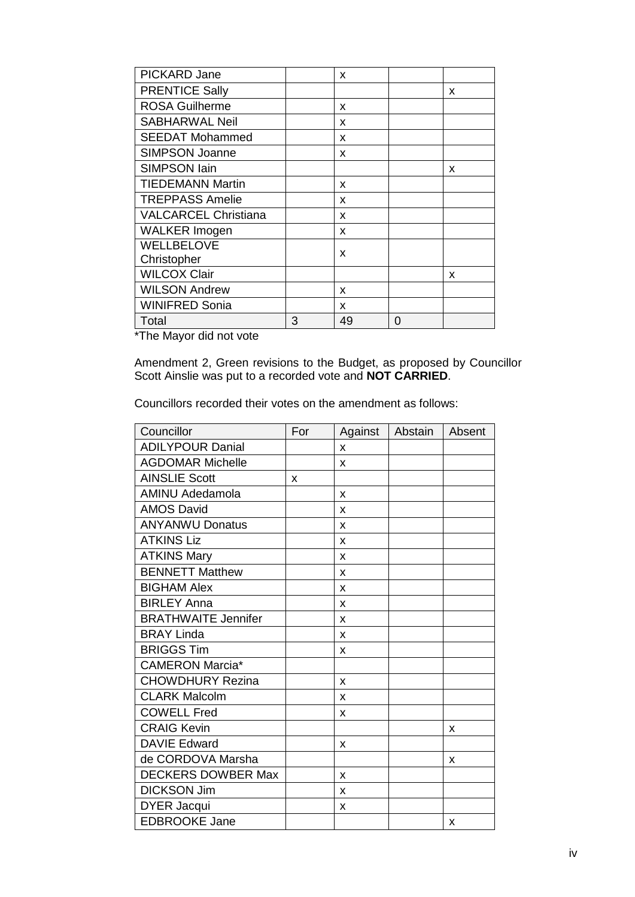| PICKARD Jane                |   | X  |   |   |
|-----------------------------|---|----|---|---|
| <b>PRENTICE Sally</b>       |   |    |   | X |
| <b>ROSA Guilherme</b>       |   | x  |   |   |
| <b>SABHARWAL Neil</b>       |   | x  |   |   |
| <b>SEEDAT Mohammed</b>      |   | x  |   |   |
| <b>SIMPSON Joanne</b>       |   | X  |   |   |
| <b>SIMPSON lain</b>         |   |    |   | x |
| <b>TIEDEMANN Martin</b>     |   | x  |   |   |
| <b>TREPPASS Amelie</b>      |   | x  |   |   |
| <b>VALCARCEL Christiana</b> |   | x  |   |   |
| <b>WALKER Imogen</b>        |   | x  |   |   |
| WELLBELOVE                  |   | x  |   |   |
| Christopher                 |   |    |   |   |
| <b>WILCOX Clair</b>         |   |    |   | x |
| <b>WILSON Andrew</b>        |   | X  |   |   |
| <b>WINIFRED Sonia</b>       |   | x  |   |   |
| Total                       | 3 | 49 | 0 |   |

\*The Mayor did not vote

Amendment 2, Green revisions to the Budget, as proposed by Councillor Scott Ainslie was put to a recorded vote and **NOT CARRIED**.

Councillors recorded their votes on the amendment as follows:

| Councillor                 | For | Against | Abstain | Absent |
|----------------------------|-----|---------|---------|--------|
| <b>ADILYPOUR Danial</b>    |     | X       |         |        |
| <b>AGDOMAR Michelle</b>    |     | X       |         |        |
| <b>AINSLIE Scott</b>       | X   |         |         |        |
| <b>AMINU Adedamola</b>     |     | X       |         |        |
| <b>AMOS David</b>          |     | X       |         |        |
| <b>ANYANWU Donatus</b>     |     | X       |         |        |
| <b>ATKINS Liz</b>          |     | X       |         |        |
| <b>ATKINS Mary</b>         |     | X       |         |        |
| <b>BENNETT Matthew</b>     |     | X       |         |        |
| <b>BIGHAM Alex</b>         |     | X       |         |        |
| <b>BIRLEY Anna</b>         |     | X       |         |        |
| <b>BRATHWAITE Jennifer</b> |     | X       |         |        |
| <b>BRAY Linda</b>          |     | X       |         |        |
| <b>BRIGGS Tim</b>          |     | X       |         |        |
| <b>CAMERON Marcia*</b>     |     |         |         |        |
| <b>CHOWDHURY Rezina</b>    |     | X       |         |        |
| <b>CLARK Malcolm</b>       |     | X       |         |        |
| <b>COWELL Fred</b>         |     | X       |         |        |
| <b>CRAIG Kevin</b>         |     |         |         | X      |
| <b>DAVIE Edward</b>        |     | X       |         |        |
| de CORDOVA Marsha          |     |         |         | X      |
| <b>DECKERS DOWBER Max</b>  |     | X       |         |        |
| <b>DICKSON Jim</b>         |     | X       |         |        |
| <b>DYER Jacqui</b>         |     | X       |         |        |
| <b>EDBROOKE Jane</b>       |     |         |         | X      |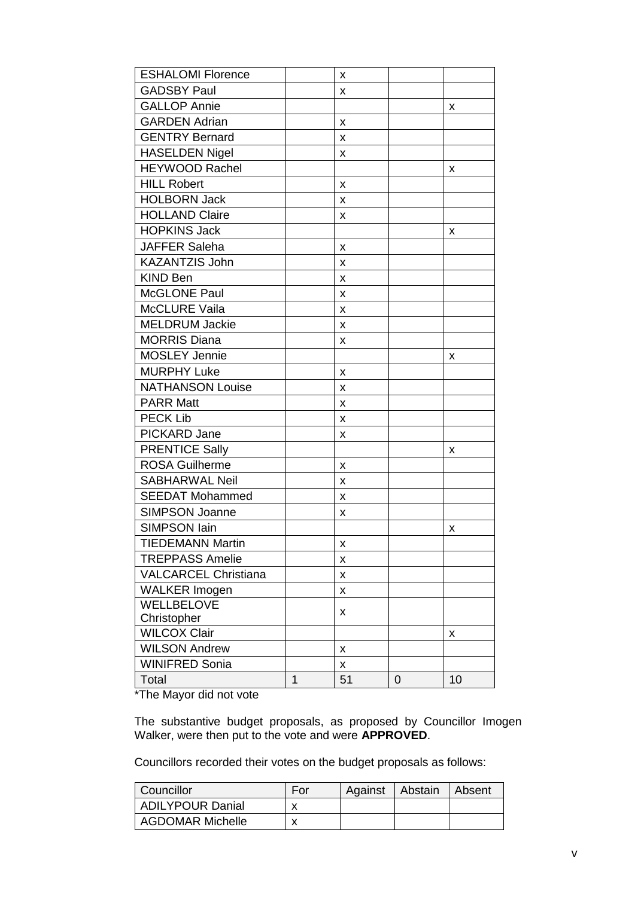| <b>ESHALOMI Florence</b>    |   | x  |   |    |
|-----------------------------|---|----|---|----|
| <b>GADSBY Paul</b>          |   | X  |   |    |
| <b>GALLOP Annie</b>         |   |    |   | x  |
| <b>GARDEN Adrian</b>        |   | x  |   |    |
| <b>GENTRY Bernard</b>       |   | x  |   |    |
| <b>HASELDEN Nigel</b>       |   | x  |   |    |
| <b>HEYWOOD Rachel</b>       |   |    |   | х  |
| <b>HILL Robert</b>          |   | x  |   |    |
| <b>HOLBORN Jack</b>         |   | x  |   |    |
| <b>HOLLAND Claire</b>       |   | X  |   |    |
| <b>HOPKINS Jack</b>         |   |    |   | x  |
| <b>JAFFER Saleha</b>        |   | x  |   |    |
| <b>KAZANTZIS John</b>       |   | X  |   |    |
| <b>KIND Ben</b>             |   | X  |   |    |
| McGLONE Paul                |   | X  |   |    |
| <b>McCLURE Vaila</b>        |   | X  |   |    |
| <b>MELDRUM Jackie</b>       |   | X  |   |    |
| <b>MORRIS Diana</b>         |   | x  |   |    |
| <b>MOSLEY Jennie</b>        |   |    |   | x  |
| <b>MURPHY Luke</b>          |   | X  |   |    |
| <b>NATHANSON Louise</b>     |   | x  |   |    |
| <b>PARR Matt</b>            |   | X  |   |    |
| <b>PECK Lib</b>             |   | X  |   |    |
| PICKARD Jane                |   | x  |   |    |
| <b>PRENTICE Sally</b>       |   |    |   | х  |
| <b>ROSA Guilherme</b>       |   | x  |   |    |
| <b>SABHARWAL Neil</b>       |   | x  |   |    |
| <b>SEEDAT Mohammed</b>      |   | X  |   |    |
| <b>SIMPSON Joanne</b>       |   | x  |   |    |
| <b>SIMPSON lain</b>         |   |    |   | X  |
| <b>TIEDEMANN Martin</b>     |   | X  |   |    |
| <b>TREPPASS Amelie</b>      |   | x  |   |    |
| <b>VALCARCEL Christiana</b> |   | X  |   |    |
| <b>WALKER Imogen</b>        |   | X  |   |    |
| WELLBELOVE                  |   |    |   |    |
| Christopher                 |   | x  |   |    |
| <b>WILCOX Clair</b>         |   |    |   | x  |
| <b>WILSON Andrew</b>        |   | x  |   |    |
| <b>WINIFRED Sonia</b>       |   | X  |   |    |
| Total                       | 1 | 51 | 0 | 10 |

\*The Mayor did not vote

The substantive budget proposals, as proposed by Councillor Imogen Walker, were then put to the vote and were **APPROVED**.

Councillors recorded their votes on the budget proposals as follows:

| Councillor              | For | Against | Abstain | Absent |
|-------------------------|-----|---------|---------|--------|
| <b>ADILYPOUR Danial</b> |     |         |         |        |
| <b>AGDOMAR Michelle</b> |     |         |         |        |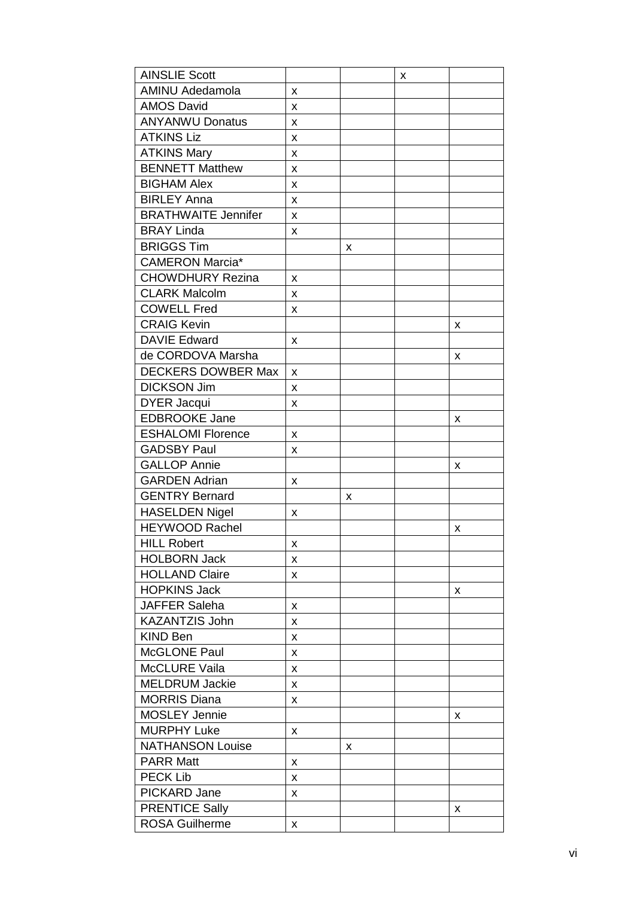| <b>AINSLIE Scott</b>       |   |   | x |   |
|----------------------------|---|---|---|---|
| <b>AMINU Adedamola</b>     | X |   |   |   |
| <b>AMOS David</b>          | x |   |   |   |
| <b>ANYANWU Donatus</b>     | X |   |   |   |
| <b>ATKINS Liz</b>          | x |   |   |   |
| <b>ATKINS Mary</b>         | x |   |   |   |
| <b>BENNETT Matthew</b>     | x |   |   |   |
| <b>BIGHAM Alex</b>         | X |   |   |   |
| <b>BIRLEY Anna</b>         | X |   |   |   |
| <b>BRATHWAITE Jennifer</b> | x |   |   |   |
| <b>BRAY Linda</b>          | x |   |   |   |
| <b>BRIGGS Tim</b>          |   | x |   |   |
| <b>CAMERON Marcia*</b>     |   |   |   |   |
| <b>CHOWDHURY Rezina</b>    | x |   |   |   |
| <b>CLARK Malcolm</b>       | x |   |   |   |
| <b>COWELL Fred</b>         | x |   |   |   |
| <b>CRAIG Kevin</b>         |   |   |   | x |
| <b>DAVIE Edward</b>        | X |   |   |   |
| de CORDOVA Marsha          |   |   |   | x |
| <b>DECKERS DOWBER Max</b>  | x |   |   |   |
| <b>DICKSON Jim</b>         | х |   |   |   |
| <b>DYER Jacqui</b>         | X |   |   |   |
| <b>EDBROOKE Jane</b>       |   |   |   | x |
| <b>ESHALOMI Florence</b>   | x |   |   |   |
| <b>GADSBY Paul</b>         | x |   |   |   |
| <b>GALLOP Annie</b>        |   |   |   | x |
| <b>GARDEN Adrian</b>       | X |   |   |   |
| <b>GENTRY Bernard</b>      |   | x |   |   |
| <b>HASELDEN Nigel</b>      | x |   |   |   |
| <b>HEYWOOD Rachel</b>      |   |   |   | x |
| <b>HILL Robert</b>         | X |   |   |   |
| <b>HOLBORN Jack</b>        | x |   |   |   |
| <b>HOLLAND Claire</b>      | x |   |   |   |
| <b>HOPKINS Jack</b>        |   |   |   | x |
| <b>JAFFER Saleha</b>       | X |   |   |   |
| <b>KAZANTZIS John</b>      | x |   |   |   |
| <b>KIND Ben</b>            | x |   |   |   |
| <b>McGLONE Paul</b>        | x |   |   |   |
| <b>McCLURE Vaila</b>       | x |   |   |   |
| <b>MELDRUM Jackie</b>      | X |   |   |   |
| <b>MORRIS Diana</b>        | X |   |   |   |
| <b>MOSLEY Jennie</b>       |   |   |   | x |
| <b>MURPHY Luke</b>         | X |   |   |   |
| <b>NATHANSON Louise</b>    |   | x |   |   |
| <b>PARR Matt</b>           | x |   |   |   |
| <b>PECK Lib</b>            | X |   |   |   |
| PICKARD Jane               | x |   |   |   |
| <b>PRENTICE Sally</b>      |   |   |   | x |
| <b>ROSA Guilherme</b>      | X |   |   |   |
|                            |   |   |   |   |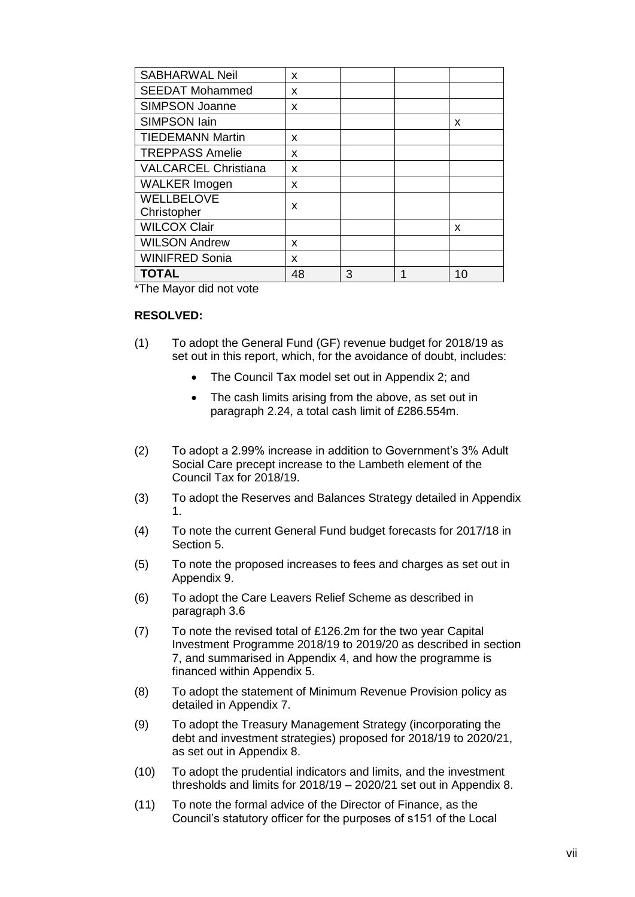| <b>SABHARWAL Neil</b>            | x  |   |   |    |
|----------------------------------|----|---|---|----|
| <b>SEEDAT Mohammed</b>           | X  |   |   |    |
| SIMPSON Joanne                   | x  |   |   |    |
| <b>SIMPSON lain</b>              |    |   |   | x  |
| <b>TIEDEMANN Martin</b>          | x  |   |   |    |
| <b>TREPPASS Amelie</b>           | X  |   |   |    |
| <b>VALCARCEL Christiana</b>      | X  |   |   |    |
| <b>WALKER Imogen</b>             | x  |   |   |    |
| <b>WELLBELOVE</b><br>Christopher | x  |   |   |    |
| <b>WILCOX Clair</b>              |    |   |   | x  |
| <b>WILSON Andrew</b>             | x  |   |   |    |
| <b>WINIFRED Sonia</b>            | x  |   |   |    |
| <b>TOTAL</b>                     | 48 | 3 | 1 | 10 |

\*The Mayor did not vote

#### **RESOLVED:**

- (1) To adopt the General Fund (GF) revenue budget for 2018/19 as set out in this report, which, for the avoidance of doubt, includes:
	- The Council Tax model set out in Appendix 2; and
	- The cash limits arising from the above, as set out in paragraph 2.24, a total cash limit of £286.554m.
- (2) To adopt a 2.99% increase in addition to Government's 3% Adult Social Care precept increase to the Lambeth element of the Council Tax for 2018/19.
- (3) To adopt the Reserves and Balances Strategy detailed in Appendix 1.
- (4) To note the current General Fund budget forecasts for 2017/18 in Section 5.
- (5) To note the proposed increases to fees and charges as set out in Appendix 9.
- (6) To adopt the Care Leavers Relief Scheme as described in paragraph 3.6
- (7) To note the revised total of £126.2m for the two year Capital Investment Programme 2018/19 to 2019/20 as described in section 7, and summarised in Appendix 4, and how the programme is financed within Appendix 5.
- (8) To adopt the statement of Minimum Revenue Provision policy as detailed in Appendix 7.
- (9) To adopt the Treasury Management Strategy (incorporating the debt and investment strategies) proposed for 2018/19 to 2020/21, as set out in Appendix 8.
- (10) To adopt the prudential indicators and limits, and the investment thresholds and limits for 2018/19 – 2020/21 set out in Appendix 8.
- (11) To note the formal advice of the Director of Finance, as the Council's statutory officer for the purposes of s151 of the Local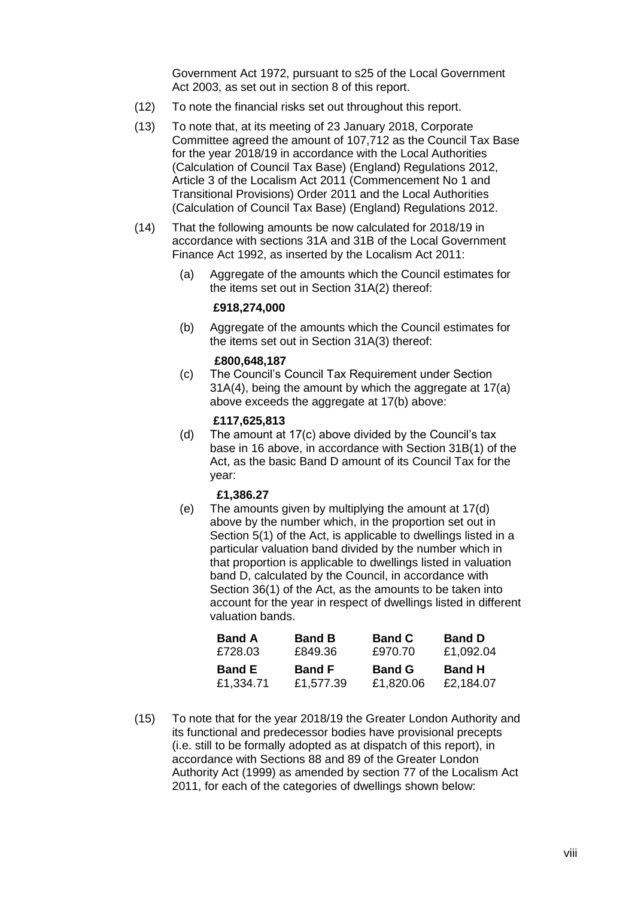Government Act 1972, pursuant to s25 of the Local Government Act 2003, as set out in section 8 of this report.

- (12) To note the financial risks set out throughout this report.
- (13) To note that, at its meeting of 23 January 2018, Corporate Committee agreed the amount of 107,712 as the Council Tax Base for the year 2018/19 in accordance with the Local Authorities (Calculation of Council Tax Base) (England) Regulations 2012, Article 3 of the Localism Act 2011 (Commencement No 1 and Transitional Provisions) Order 2011 and the Local Authorities (Calculation of Council Tax Base) (England) Regulations 2012.
- (14) That the following amounts be now calculated for 2018/19 in accordance with sections 31A and 31B of the Local Government Finance Act 1992, as inserted by the Localism Act 2011:
	- (a) Aggregate of the amounts which the Council estimates for the items set out in Section 31A(2) thereof:

#### **£918,274,000**

(b) Aggregate of the amounts which the Council estimates for the items set out in Section 31A(3) thereof:

#### **£800,648,187**

(c) The Council's Council Tax Requirement under Section 31A(4), being the amount by which the aggregate at 17(a) above exceeds the aggregate at 17(b) above:

#### **£117,625,813**

(d) The amount at 17(c) above divided by the Council's tax base in 16 above, in accordance with Section 31B(1) of the Act, as the basic Band D amount of its Council Tax for the year:

#### **£1,386.27**

(e) The amounts given by multiplying the amount at 17(d) above by the number which, in the proportion set out in Section 5(1) of the Act, is applicable to dwellings listed in a particular valuation band divided by the number which in that proportion is applicable to dwellings listed in valuation band D, calculated by the Council, in accordance with Section 36(1) of the Act, as the amounts to be taken into account for the year in respect of dwellings listed in different valuation bands.

| <b>Band A</b> | <b>Band B</b> | <b>Band C</b> | <b>Band D</b> |
|---------------|---------------|---------------|---------------|
| £728.03       | £849.36       | £970.70       | £1,092.04     |
|               |               |               |               |
| <b>Band E</b> | <b>Band F</b> | <b>Band G</b> | <b>Band H</b> |

(15) To note that for the year 2018/19 the Greater London Authority and its functional and predecessor bodies have provisional precepts (i.e. still to be formally adopted as at dispatch of this report), in accordance with Sections 88 and 89 of the Greater London Authority Act (1999) as amended by section 77 of the Localism Act 2011, for each of the categories of dwellings shown below: